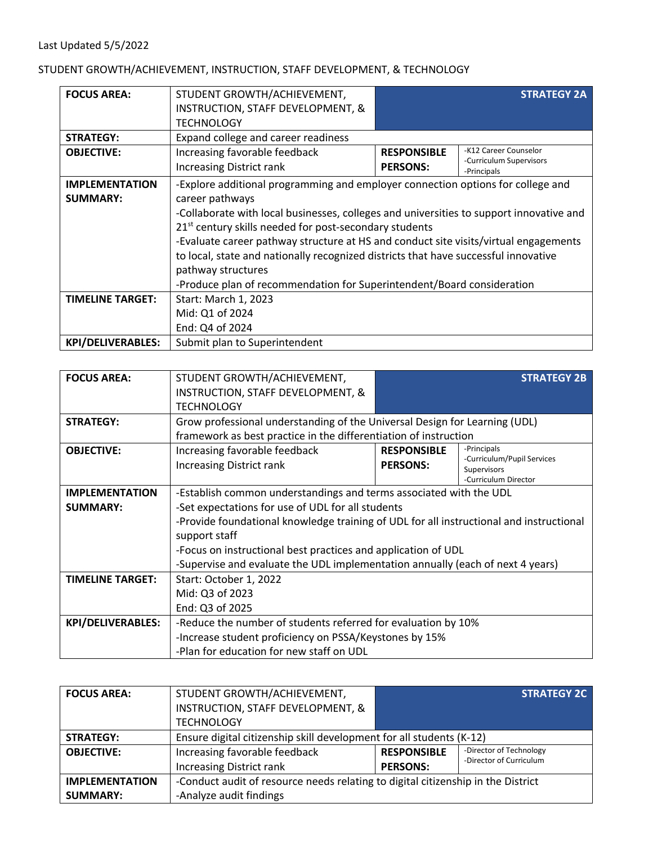## STUDENT GROWTH/ACHIEVEMENT, INSTRUCTION, STAFF DEVELOPMENT, & TECHNOLOGY

| <b>FOCUS AREA:</b>       | STUDENT GROWTH/ACHIEVEMENT,                                                             |                    | <b>STRATEGY 2A</b>      |
|--------------------------|-----------------------------------------------------------------------------------------|--------------------|-------------------------|
|                          | INSTRUCTION, STAFF DEVELOPMENT, &                                                       |                    |                         |
|                          | <b>TECHNOLOGY</b>                                                                       |                    |                         |
| <b>STRATEGY:</b>         | Expand college and career readiness                                                     |                    |                         |
| <b>OBJECTIVE:</b>        | Increasing favorable feedback                                                           | <b>RESPONSIBLE</b> | -K12 Career Counselor   |
|                          | <b>Increasing District rank</b>                                                         | <b>PERSONS:</b>    | -Curriculum Supervisors |
|                          |                                                                                         |                    | -Principals             |
| <b>IMPLEMENTATION</b>    | -Explore additional programming and employer connection options for college and         |                    |                         |
| <b>SUMMARY:</b>          | career pathways                                                                         |                    |                         |
|                          | -Collaborate with local businesses, colleges and universities to support innovative and |                    |                         |
|                          | 21 <sup>st</sup> century skills needed for post-secondary students                      |                    |                         |
|                          | -Evaluate career pathway structure at HS and conduct site visits/virtual engagements    |                    |                         |
|                          | to local, state and nationally recognized districts that have successful innovative     |                    |                         |
|                          | pathway structures                                                                      |                    |                         |
|                          | -Produce plan of recommendation for Superintendent/Board consideration                  |                    |                         |
| <b>TIMELINE TARGET:</b>  | Start: March 1, 2023                                                                    |                    |                         |
|                          | Mid: Q1 of 2024                                                                         |                    |                         |
|                          | End: Q4 of 2024                                                                         |                    |                         |
| <b>KPI/DELIVERABLES:</b> | Submit plan to Superintendent                                                           |                    |                         |

| <b>FOCUS AREA:</b>       | STUDENT GROWTH/ACHIEVEMENT,<br>INSTRUCTION, STAFF DEVELOPMENT, &                        |                    | <b>STRATEGY 2B</b>                        |
|--------------------------|-----------------------------------------------------------------------------------------|--------------------|-------------------------------------------|
|                          | <b>TECHNOLOGY</b>                                                                       |                    |                                           |
| <b>STRATEGY:</b>         | Grow professional understanding of the Universal Design for Learning (UDL)              |                    |                                           |
|                          | framework as best practice in the differentiation of instruction                        |                    |                                           |
| <b>OBJECTIVE:</b>        | Increasing favorable feedback                                                           | <b>RESPONSIBLE</b> | -Principals<br>-Curriculum/Pupil Services |
|                          | Increasing District rank                                                                | <b>PERSONS:</b>    | Supervisors                               |
|                          |                                                                                         |                    | -Curriculum Director                      |
| <b>IMPLEMENTATION</b>    | -Establish common understandings and terms associated with the UDL                      |                    |                                           |
| <b>SUMMARY:</b>          | -Set expectations for use of UDL for all students                                       |                    |                                           |
|                          | -Provide foundational knowledge training of UDL for all instructional and instructional |                    |                                           |
|                          | support staff                                                                           |                    |                                           |
|                          | -Focus on instructional best practices and application of UDL                           |                    |                                           |
|                          | -Supervise and evaluate the UDL implementation annually (each of next 4 years)          |                    |                                           |
| <b>TIMELINE TARGET:</b>  | Start: October 1, 2022                                                                  |                    |                                           |
|                          | Mid: Q3 of 2023                                                                         |                    |                                           |
|                          | End: Q3 of 2025                                                                         |                    |                                           |
| <b>KPI/DELIVERABLES:</b> | -Reduce the number of students referred for evaluation by 10%                           |                    |                                           |
|                          | -Increase student proficiency on PSSA/Keystones by 15%                                  |                    |                                           |
|                          | -Plan for education for new staff on UDL                                                |                    |                                           |

| <b>FOCUS AREA:</b>    | STUDENT GROWTH/ACHIEVEMENT,                                                      |                    | <b>STRATEGY 2C</b>      |
|-----------------------|----------------------------------------------------------------------------------|--------------------|-------------------------|
|                       | INSTRUCTION, STAFF DEVELOPMENT, &                                                |                    |                         |
|                       | <b>TECHNOLOGY</b>                                                                |                    |                         |
| <b>STRATEGY:</b>      | Ensure digital citizenship skill development for all students (K-12)             |                    |                         |
| <b>OBJECTIVE:</b>     | Increasing favorable feedback                                                    | <b>RESPONSIBLE</b> | -Director of Technology |
|                       | <b>Increasing District rank</b>                                                  | <b>PERSONS:</b>    | -Director of Curriculum |
| <b>IMPLEMENTATION</b> | -Conduct audit of resource needs relating to digital citizenship in the District |                    |                         |
| <b>SUMMARY:</b>       | -Analyze audit findings                                                          |                    |                         |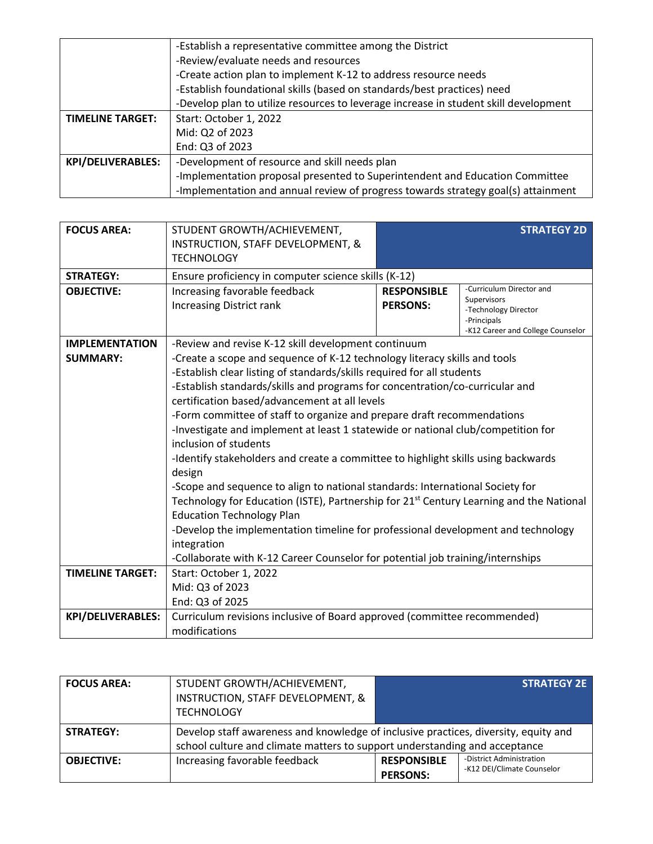|                          | -Establish a representative committee among the District                             |  |  |
|--------------------------|--------------------------------------------------------------------------------------|--|--|
|                          | -Review/evaluate needs and resources                                                 |  |  |
|                          | -Create action plan to implement K-12 to address resource needs                      |  |  |
|                          | -Establish foundational skills (based on standards/best practices) need              |  |  |
|                          | -Develop plan to utilize resources to leverage increase in student skill development |  |  |
| <b>TIMELINE TARGET:</b>  | Start: October 1, 2022                                                               |  |  |
|                          | Mid: Q2 of 2023                                                                      |  |  |
|                          | End: Q3 of 2023                                                                      |  |  |
| <b>KPI/DELIVERABLES:</b> | -Development of resource and skill needs plan                                        |  |  |
|                          | -Implementation proposal presented to Superintendent and Education Committee         |  |  |
|                          | -Implementation and annual review of progress towards strategy goal(s) attainment    |  |  |

| <b>FOCUS AREA:</b>       | STUDENT GROWTH/ACHIEVEMENT,<br><b>INSTRUCTION, STAFF DEVELOPMENT, &amp;</b><br><b>TECHNOLOGY</b>    |                                       | <b>STRATEGY 2D</b>                                                                                                  |
|--------------------------|-----------------------------------------------------------------------------------------------------|---------------------------------------|---------------------------------------------------------------------------------------------------------------------|
| <b>STRATEGY:</b>         | Ensure proficiency in computer science skills (K-12)                                                |                                       |                                                                                                                     |
| <b>OBJECTIVE:</b>        | Increasing favorable feedback<br><b>Increasing District rank</b>                                    | <b>RESPONSIBLE</b><br><b>PERSONS:</b> | -Curriculum Director and<br>Supervisors<br>-Technology Director<br>-Principals<br>-K12 Career and College Counselor |
| <b>IMPLEMENTATION</b>    | -Review and revise K-12 skill development continuum                                                 |                                       |                                                                                                                     |
| <b>SUMMARY:</b>          | -Create a scope and sequence of K-12 technology literacy skills and tools                           |                                       |                                                                                                                     |
|                          | -Establish clear listing of standards/skills required for all students                              |                                       |                                                                                                                     |
|                          | -Establish standards/skills and programs for concentration/co-curricular and                        |                                       |                                                                                                                     |
|                          | certification based/advancement at all levels                                                       |                                       |                                                                                                                     |
|                          | -Form committee of staff to organize and prepare draft recommendations                              |                                       |                                                                                                                     |
|                          | -Investigate and implement at least 1 statewide or national club/competition for                    |                                       |                                                                                                                     |
|                          | inclusion of students                                                                               |                                       |                                                                                                                     |
|                          | -Identify stakeholders and create a committee to highlight skills using backwards                   |                                       |                                                                                                                     |
|                          | design                                                                                              |                                       |                                                                                                                     |
|                          | -Scope and sequence to align to national standards: International Society for                       |                                       |                                                                                                                     |
|                          | Technology for Education (ISTE), Partnership for 21 <sup>st</sup> Century Learning and the National |                                       |                                                                                                                     |
|                          | <b>Education Technology Plan</b>                                                                    |                                       |                                                                                                                     |
|                          | -Develop the implementation timeline for professional development and technology                    |                                       |                                                                                                                     |
|                          | integration                                                                                         |                                       |                                                                                                                     |
|                          | -Collaborate with K-12 Career Counselor for potential job training/internships                      |                                       |                                                                                                                     |
| <b>TIMELINE TARGET:</b>  | Start: October 1, 2022                                                                              |                                       |                                                                                                                     |
|                          | Mid: Q3 of 2023                                                                                     |                                       |                                                                                                                     |
|                          | End: Q3 of 2025                                                                                     |                                       |                                                                                                                     |
| <b>KPI/DELIVERABLES:</b> | Curriculum revisions inclusive of Board approved (committee recommended)                            |                                       |                                                                                                                     |
|                          | modifications                                                                                       |                                       |                                                                                                                     |

| <b>FOCUS AREA:</b> | STUDENT GROWTH/ACHIEVEMENT,<br>INSTRUCTION, STAFF DEVELOPMENT, &<br><b>TECHNOLOGY</b>                                                                             |                                       | <b>STRATEGY 2E</b>                                     |
|--------------------|-------------------------------------------------------------------------------------------------------------------------------------------------------------------|---------------------------------------|--------------------------------------------------------|
| <b>STRATEGY:</b>   | Develop staff awareness and knowledge of inclusive practices, diversity, equity and<br>school culture and climate matters to support understanding and acceptance |                                       |                                                        |
| <b>OBJECTIVE:</b>  | Increasing favorable feedback                                                                                                                                     | <b>RESPONSIBLE</b><br><b>PERSONS:</b> | -District Administration<br>-K12 DEI/Climate Counselor |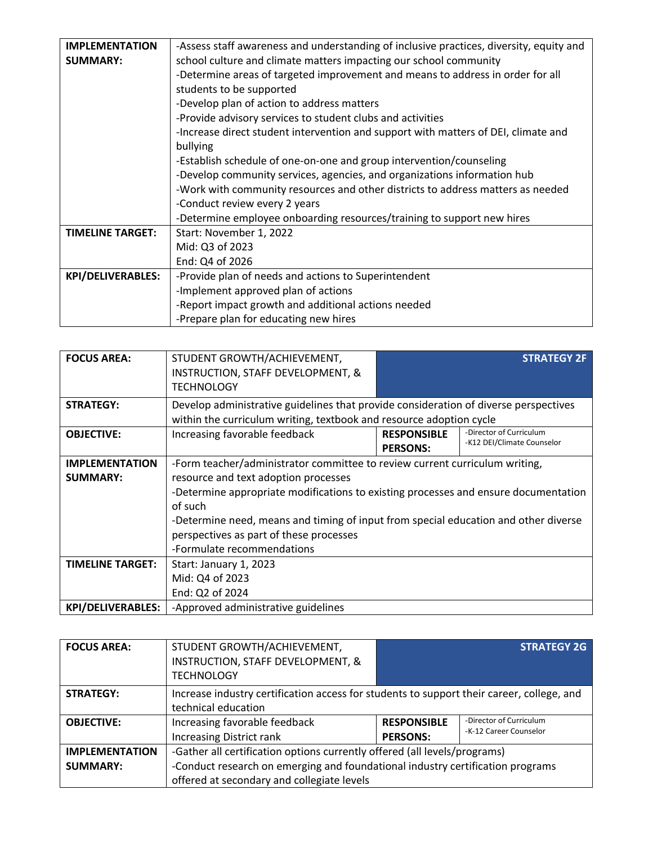| <b>IMPLEMENTATION</b>    | -Assess staff awareness and understanding of inclusive practices, diversity, equity and |  |
|--------------------------|-----------------------------------------------------------------------------------------|--|
| <b>SUMMARY:</b>          | school culture and climate matters impacting our school community                       |  |
|                          | -Determine areas of targeted improvement and means to address in order for all          |  |
|                          | students to be supported                                                                |  |
|                          | -Develop plan of action to address matters                                              |  |
|                          | -Provide advisory services to student clubs and activities                              |  |
|                          | -Increase direct student intervention and support with matters of DEI, climate and      |  |
|                          | bullying                                                                                |  |
|                          | -Establish schedule of one-on-one and group intervention/counseling                     |  |
|                          | -Develop community services, agencies, and organizations information hub                |  |
|                          | -Work with community resources and other districts to address matters as needed         |  |
|                          | -Conduct review every 2 years                                                           |  |
|                          | -Determine employee onboarding resources/training to support new hires                  |  |
| <b>TIMELINE TARGET:</b>  | Start: November 1, 2022                                                                 |  |
|                          | Mid: Q3 of 2023                                                                         |  |
|                          | End: Q4 of 2026                                                                         |  |
| <b>KPI/DELIVERABLES:</b> | -Provide plan of needs and actions to Superintendent                                    |  |
|                          | -Implement approved plan of actions                                                     |  |
|                          | -Report impact growth and additional actions needed                                     |  |
|                          | -Prepare plan for educating new hires                                                   |  |

| <b>FOCUS AREA:</b>       | STUDENT GROWTH/ACHIEVEMENT,<br>INSTRUCTION, STAFF DEVELOPMENT, &<br><b>TECHNOLOGY</b>                                                                       |                                       | <b>STRATEGY 2F</b>                                    |
|--------------------------|-------------------------------------------------------------------------------------------------------------------------------------------------------------|---------------------------------------|-------------------------------------------------------|
| <b>STRATEGY:</b>         | Develop administrative guidelines that provide consideration of diverse perspectives<br>within the curriculum writing, textbook and resource adoption cycle |                                       |                                                       |
| <b>OBJECTIVE:</b>        | Increasing favorable feedback                                                                                                                               | <b>RESPONSIBLE</b><br><b>PERSONS:</b> | -Director of Curriculum<br>-K12 DEI/Climate Counselor |
| <b>IMPLEMENTATION</b>    | -Form teacher/administrator committee to review current curriculum writing,                                                                                 |                                       |                                                       |
| <b>SUMMARY:</b>          | resource and text adoption processes                                                                                                                        |                                       |                                                       |
|                          | -Determine appropriate modifications to existing processes and ensure documentation                                                                         |                                       |                                                       |
|                          | of such                                                                                                                                                     |                                       |                                                       |
|                          | -Determine need, means and timing of input from special education and other diverse                                                                         |                                       |                                                       |
|                          | perspectives as part of these processes                                                                                                                     |                                       |                                                       |
|                          | -Formulate recommendations                                                                                                                                  |                                       |                                                       |
| <b>TIMELINE TARGET:</b>  | Start: January 1, 2023                                                                                                                                      |                                       |                                                       |
|                          | Mid: Q4 of 2023                                                                                                                                             |                                       |                                                       |
|                          | End: Q2 of 2024                                                                                                                                             |                                       |                                                       |
| <b>KPI/DELIVERABLES:</b> | -Approved administrative guidelines                                                                                                                         |                                       |                                                       |

| <b>FOCUS AREA:</b>                       | STUDENT GROWTH/ACHIEVEMENT,<br>INSTRUCTION, STAFF DEVELOPMENT, &<br><b>TECHNOLOGY</b>                                                                                                                     |                                       | <b>STRATEGY 2G</b>                                |
|------------------------------------------|-----------------------------------------------------------------------------------------------------------------------------------------------------------------------------------------------------------|---------------------------------------|---------------------------------------------------|
| <b>STRATEGY:</b>                         | Increase industry certification access for students to support their career, college, and<br>technical education                                                                                          |                                       |                                                   |
| <b>OBJECTIVE:</b>                        | Increasing favorable feedback<br><b>Increasing District rank</b>                                                                                                                                          | <b>RESPONSIBLE</b><br><b>PERSONS:</b> | -Director of Curriculum<br>-K-12 Career Counselor |
| <b>IMPLEMENTATION</b><br><b>SUMMARY:</b> | -Gather all certification options currently offered (all levels/programs)<br>-Conduct research on emerging and foundational industry certification programs<br>offered at secondary and collegiate levels |                                       |                                                   |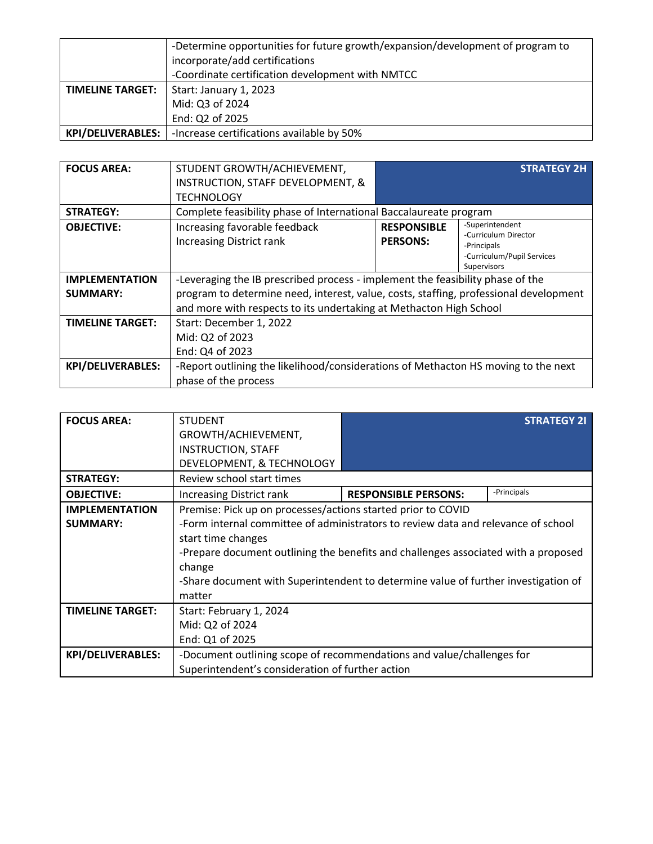|                          | -Determine opportunities for future growth/expansion/development of program to<br>incorporate/add certifications<br>-Coordinate certification development with NMTCC |
|--------------------------|----------------------------------------------------------------------------------------------------------------------------------------------------------------------|
| <b>TIMELINE TARGET:</b>  | Start: January 1, 2023<br>Mid: Q3 of 2024<br>End: Q2 of 2025                                                                                                         |
| <b>KPI/DELIVERABLES:</b> | -Increase certifications available by 50%                                                                                                                            |

| <b>FOCUS AREA:</b>       | STUDENT GROWTH/ACHIEVEMENT,                                                           |                    | <b>STRATEGY 2H</b>                  |
|--------------------------|---------------------------------------------------------------------------------------|--------------------|-------------------------------------|
|                          | INSTRUCTION, STAFF DEVELOPMENT, &                                                     |                    |                                     |
|                          | TECHNOLOGY                                                                            |                    |                                     |
| <b>STRATEGY:</b>         | Complete feasibility phase of International Baccalaureate program                     |                    |                                     |
| <b>OBJECTIVE:</b>        | Increasing favorable feedback                                                         | <b>RESPONSIBLE</b> | -Superintendent                     |
|                          | <b>Increasing District rank</b>                                                       | <b>PERSONS:</b>    | -Curriculum Director<br>-Principals |
|                          |                                                                                       |                    | -Curriculum/Pupil Services          |
|                          |                                                                                       |                    | Supervisors                         |
| <b>IMPLEMENTATION</b>    | -Leveraging the IB prescribed process - implement the feasibility phase of the        |                    |                                     |
| <b>SUMMARY:</b>          | program to determine need, interest, value, costs, staffing, professional development |                    |                                     |
|                          | and more with respects to its undertaking at Methacton High School                    |                    |                                     |
| <b>TIMELINE TARGET:</b>  | Start: December 1, 2022                                                               |                    |                                     |
|                          | Mid: Q2 of 2023                                                                       |                    |                                     |
|                          | End: Q4 of 2023                                                                       |                    |                                     |
| <b>KPI/DELIVERABLES:</b> | -Report outlining the likelihood/considerations of Methacton HS moving to the next    |                    |                                     |
|                          | phase of the process                                                                  |                    |                                     |

| <b>FOCUS AREA:</b>       | <b>STUDENT</b>                                                                     |                             | <b>STRATEGY 21</b> |
|--------------------------|------------------------------------------------------------------------------------|-----------------------------|--------------------|
|                          | GROWTH/ACHIEVEMENT,                                                                |                             |                    |
|                          |                                                                                    |                             |                    |
|                          | <b>INSTRUCTION, STAFF</b>                                                          |                             |                    |
|                          | DEVELOPMENT, & TECHNOLOGY                                                          |                             |                    |
| <b>STRATEGY:</b>         | Review school start times                                                          |                             |                    |
| <b>OBJECTIVE:</b>        | <b>Increasing District rank</b>                                                    | <b>RESPONSIBLE PERSONS:</b> | -Principals        |
| <b>IMPLEMENTATION</b>    | Premise: Pick up on processes/actions started prior to COVID                       |                             |                    |
| <b>SUMMARY:</b>          | -Form internal committee of administrators to review data and relevance of school  |                             |                    |
|                          | start time changes                                                                 |                             |                    |
|                          | -Prepare document outlining the benefits and challenges associated with a proposed |                             |                    |
|                          | change                                                                             |                             |                    |
|                          | -Share document with Superintendent to determine value of further investigation of |                             |                    |
|                          | matter                                                                             |                             |                    |
| <b>TIMELINE TARGET:</b>  | Start: February 1, 2024                                                            |                             |                    |
|                          | Mid: Q2 of 2024                                                                    |                             |                    |
|                          | End: Q1 of 2025                                                                    |                             |                    |
| <b>KPI/DELIVERABLES:</b> | -Document outlining scope of recommendations and value/challenges for              |                             |                    |
|                          | Superintendent's consideration of further action                                   |                             |                    |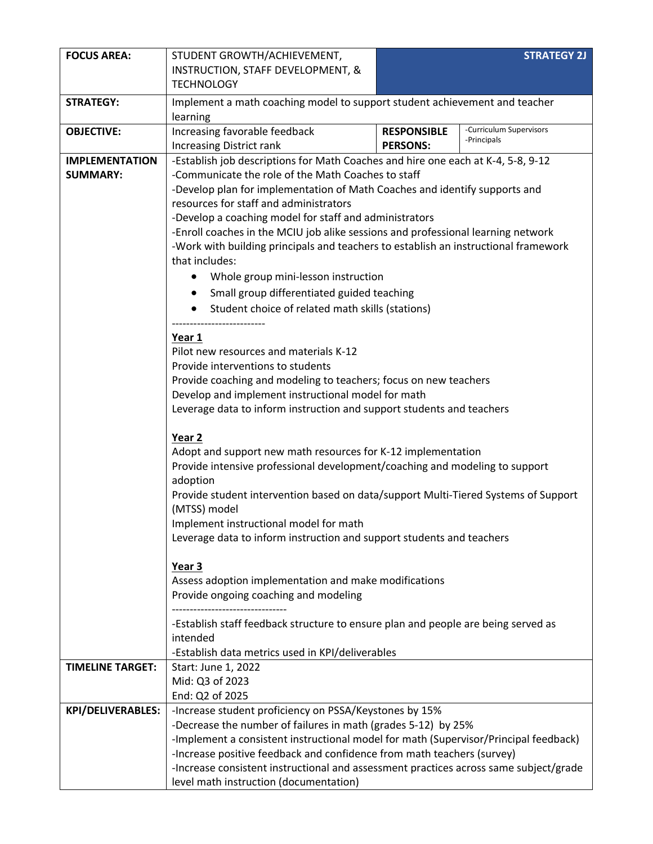| <b>FOCUS AREA:</b>                       | STUDENT GROWTH/ACHIEVEMENT,<br>INSTRUCTION, STAFF DEVELOPMENT, &<br><b>TECHNOLOGY</b>                                                                                                                                                                                                                                                                                                                                                                                                                                                                        |                                                                                   | <b>STRATEGY 2J</b>      |  |
|------------------------------------------|--------------------------------------------------------------------------------------------------------------------------------------------------------------------------------------------------------------------------------------------------------------------------------------------------------------------------------------------------------------------------------------------------------------------------------------------------------------------------------------------------------------------------------------------------------------|-----------------------------------------------------------------------------------|-------------------------|--|
| <b>STRATEGY:</b>                         | Implement a math coaching model to support student achievement and teacher<br>learning                                                                                                                                                                                                                                                                                                                                                                                                                                                                       |                                                                                   |                         |  |
| <b>OBJECTIVE:</b>                        | Increasing favorable feedback                                                                                                                                                                                                                                                                                                                                                                                                                                                                                                                                | <b>RESPONSIBLE</b>                                                                | -Curriculum Supervisors |  |
|                                          | <b>Increasing District rank</b>                                                                                                                                                                                                                                                                                                                                                                                                                                                                                                                              | <b>PERSONS:</b>                                                                   | -Principals             |  |
| <b>IMPLEMENTATION</b><br><b>SUMMARY:</b> | -Establish job descriptions for Math Coaches and hire one each at K-4, 5-8, 9-12<br>-Communicate the role of the Math Coaches to staff<br>-Develop plan for implementation of Math Coaches and identify supports and<br>resources for staff and administrators<br>-Develop a coaching model for staff and administrators<br>-Enroll coaches in the MCIU job alike sessions and professional learning network<br>-Work with building principals and teachers to establish an instructional framework<br>that includes:<br>Whole group mini-lesson instruction |                                                                                   |                         |  |
|                                          | Small group differentiated guided teaching<br>Student choice of related math skills (stations)                                                                                                                                                                                                                                                                                                                                                                                                                                                               |                                                                                   |                         |  |
|                                          | Year 1<br>Pilot new resources and materials K-12<br>Provide interventions to students<br>Provide coaching and modeling to teachers; focus on new teachers<br>Develop and implement instructional model for math<br>Leverage data to inform instruction and support students and teachers                                                                                                                                                                                                                                                                     |                                                                                   |                         |  |
|                                          | Year 2<br>Adopt and support new math resources for K-12 implementation<br>Provide intensive professional development/coaching and modeling to support<br>adoption<br>Provide student intervention based on data/support Multi-Tiered Systems of Support<br>(MTSS) model<br>Implement instructional model for math<br>Leverage data to inform instruction and support students and teachers                                                                                                                                                                   |                                                                                   |                         |  |
|                                          | Year 3<br>Assess adoption implementation and make modifications<br>Provide ongoing coaching and modeling                                                                                                                                                                                                                                                                                                                                                                                                                                                     |                                                                                   |                         |  |
|                                          | intended<br>-Establish data metrics used in KPI/deliverables                                                                                                                                                                                                                                                                                                                                                                                                                                                                                                 | -Establish staff feedback structure to ensure plan and people are being served as |                         |  |
| <b>TIMELINE TARGET:</b>                  | Start: June 1, 2022<br>Mid: Q3 of 2023<br>End: Q2 of 2025                                                                                                                                                                                                                                                                                                                                                                                                                                                                                                    |                                                                                   |                         |  |
| <b>KPI/DELIVERABLES:</b>                 | -Increase student proficiency on PSSA/Keystones by 15%<br>-Decrease the number of failures in math (grades 5-12) by 25%<br>-Implement a consistent instructional model for math (Supervisor/Principal feedback)<br>-Increase positive feedback and confidence from math teachers (survey)<br>-Increase consistent instructional and assessment practices across same subject/grade<br>level math instruction (documentation)                                                                                                                                 |                                                                                   |                         |  |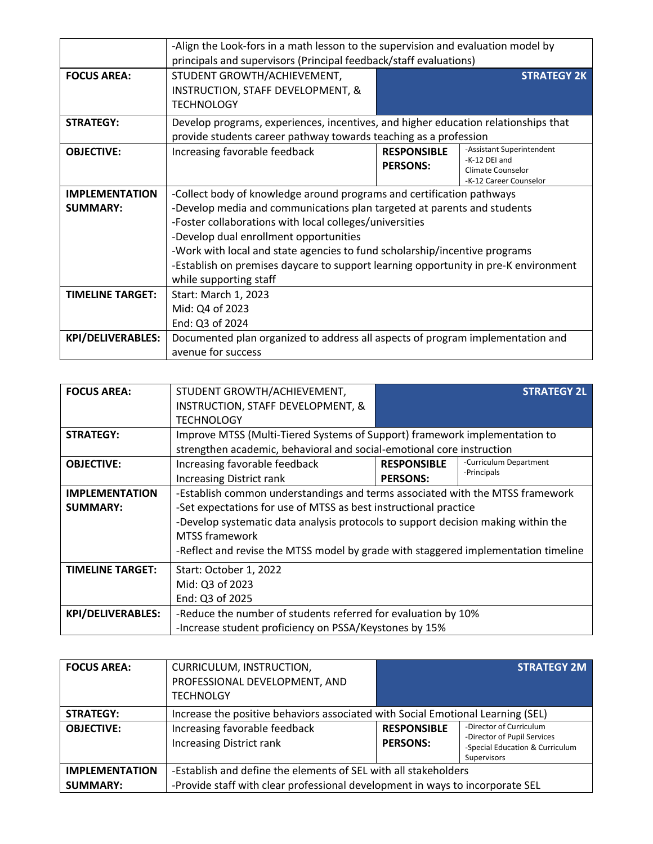|                          | -Align the Look-fors in a math lesson to the supervision and evaluation model by<br>principals and supervisors (Principal feedback/staff evaluations)  |                                       |                                                                                           |
|--------------------------|--------------------------------------------------------------------------------------------------------------------------------------------------------|---------------------------------------|-------------------------------------------------------------------------------------------|
| <b>FOCUS AREA:</b>       | STUDENT GROWTH/ACHIEVEMENT,<br>INSTRUCTION, STAFF DEVELOPMENT, &<br><b>TECHNOLOGY</b>                                                                  |                                       | <b>STRATEGY 2K</b>                                                                        |
| <b>STRATEGY:</b>         | Develop programs, experiences, incentives, and higher education relationships that<br>provide students career pathway towards teaching as a profession |                                       |                                                                                           |
| <b>OBJECTIVE:</b>        | Increasing favorable feedback                                                                                                                          | <b>RESPONSIBLE</b><br><b>PERSONS:</b> | -Assistant Superintendent<br>-K-12 DEI and<br>Climate Counselor<br>-K-12 Career Counselor |
| <b>IMPLEMENTATION</b>    | -Collect body of knowledge around programs and certification pathways                                                                                  |                                       |                                                                                           |
| <b>SUMMARY:</b>          | -Develop media and communications plan targeted at parents and students                                                                                |                                       |                                                                                           |
|                          | -Foster collaborations with local colleges/universities                                                                                                |                                       |                                                                                           |
|                          | -Develop dual enrollment opportunities                                                                                                                 |                                       |                                                                                           |
|                          | -Work with local and state agencies to fund scholarship/incentive programs                                                                             |                                       |                                                                                           |
|                          | -Establish on premises daycare to support learning opportunity in pre-K environment                                                                    |                                       |                                                                                           |
|                          | while supporting staff                                                                                                                                 |                                       |                                                                                           |
| <b>TIMELINE TARGET:</b>  | Start: March 1, 2023                                                                                                                                   |                                       |                                                                                           |
|                          | Mid: Q4 of 2023                                                                                                                                        |                                       |                                                                                           |
|                          | End: Q3 of 2024                                                                                                                                        |                                       |                                                                                           |
| <b>KPI/DELIVERABLES:</b> | Documented plan organized to address all aspects of program implementation and                                                                         |                                       |                                                                                           |
|                          | avenue for success                                                                                                                                     |                                       |                                                                                           |

| <b>FOCUS AREA:</b>       | STUDENT GROWTH/ACHIEVEMENT,                                                        |                                                                            | <b>STRATEGY 2L</b>     |  |
|--------------------------|------------------------------------------------------------------------------------|----------------------------------------------------------------------------|------------------------|--|
|                          |                                                                                    |                                                                            |                        |  |
|                          | <b>INSTRUCTION, STAFF DEVELOPMENT, &amp;</b>                                       |                                                                            |                        |  |
|                          | <b>TECHNOLOGY</b>                                                                  |                                                                            |                        |  |
| <b>STRATEGY:</b>         |                                                                                    | Improve MTSS (Multi-Tiered Systems of Support) framework implementation to |                        |  |
|                          | strengthen academic, behavioral and social-emotional core instruction              |                                                                            |                        |  |
| <b>OBJECTIVE:</b>        | Increasing favorable feedback                                                      | <b>RESPONSIBLE</b>                                                         | -Curriculum Department |  |
|                          | <b>Increasing District rank</b>                                                    | <b>PERSONS:</b>                                                            | -Principals            |  |
| <b>IMPLEMENTATION</b>    | -Establish common understandings and terms associated with the MTSS framework      |                                                                            |                        |  |
| <b>SUMMARY:</b>          | -Set expectations for use of MTSS as best instructional practice                   |                                                                            |                        |  |
|                          | -Develop systematic data analysis protocols to support decision making within the  |                                                                            |                        |  |
|                          | <b>MTSS</b> framework                                                              |                                                                            |                        |  |
|                          | -Reflect and revise the MTSS model by grade with staggered implementation timeline |                                                                            |                        |  |
|                          |                                                                                    |                                                                            |                        |  |
| <b>TIMELINE TARGET:</b>  | Start: October 1, 2022                                                             |                                                                            |                        |  |
|                          | Mid: Q3 of 2023                                                                    |                                                                            |                        |  |
|                          | End: Q3 of 2025                                                                    |                                                                            |                        |  |
| <b>KPI/DELIVERABLES:</b> | -Reduce the number of students referred for evaluation by 10%                      |                                                                            |                        |  |
|                          | -Increase student proficiency on PSSA/Keystones by 15%                             |                                                                            |                        |  |

| <b>FOCUS AREA:</b>    | CURRICULUM, INSTRUCTION,                                                        |                                       | <b>STRATEGY 2M</b>                                                                                       |
|-----------------------|---------------------------------------------------------------------------------|---------------------------------------|----------------------------------------------------------------------------------------------------------|
|                       | PROFESSIONAL DEVELOPMENT, AND                                                   |                                       |                                                                                                          |
|                       | <b>TECHNOLGY</b>                                                                |                                       |                                                                                                          |
| <b>STRATEGY:</b>      | Increase the positive behaviors associated with Social Emotional Learning (SEL) |                                       |                                                                                                          |
| <b>OBJECTIVE:</b>     | Increasing favorable feedback<br><b>Increasing District rank</b>                | <b>RESPONSIBLE</b><br><b>PERSONS:</b> | -Director of Curriculum<br>-Director of Pupil Services<br>-Special Education & Curriculum<br>Supervisors |
| <b>IMPLEMENTATION</b> | -Establish and define the elements of SEL with all stakeholders                 |                                       |                                                                                                          |
| <b>SUMMARY:</b>       | -Provide staff with clear professional development in ways to incorporate SEL   |                                       |                                                                                                          |